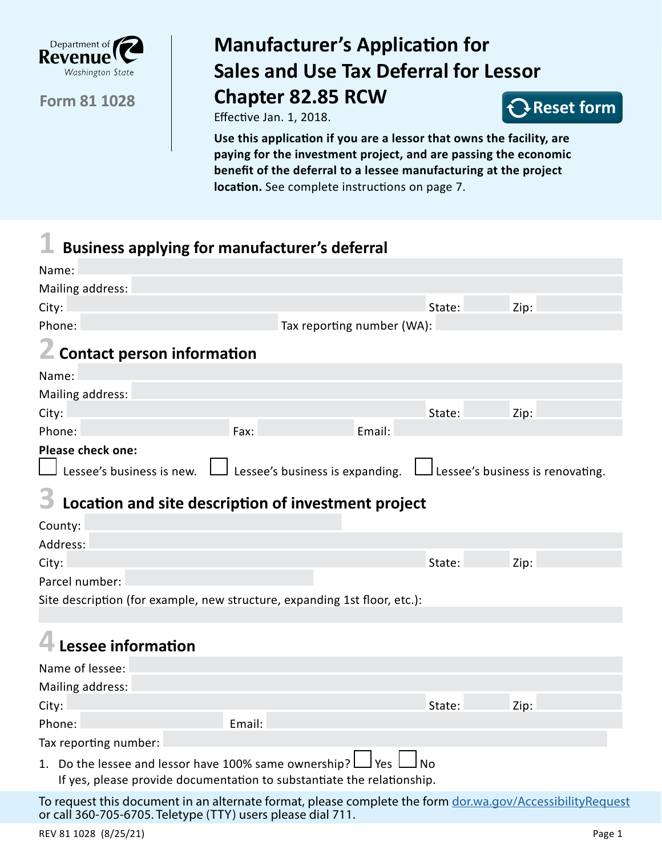

**Form 81 1028**

# **Manufacturer's Application for Sales and Use Tax Deferral for Lessor Chapter 82.85 RCW**

Effective Jan. 1, 2018.



**Use this application if you are a lessor that owns the facility, are paying for the investment project, and are passing the economic benefit of the deferral to a lessee manufacturing at the project location.** See complete instructions on page 7.

# **1 Business applying for manufacturer's deferral**

| Name:                                                                                                                                            |                                 |        |        |                                            |
|--------------------------------------------------------------------------------------------------------------------------------------------------|---------------------------------|--------|--------|--------------------------------------------|
| Mailing address:                                                                                                                                 |                                 |        |        |                                            |
| City:                                                                                                                                            |                                 |        | State: | Zip:                                       |
| Phone:                                                                                                                                           | Tax reporting number (WA):      |        |        |                                            |
| <b>Z</b> Contact person information                                                                                                              |                                 |        |        |                                            |
| Name:                                                                                                                                            |                                 |        |        |                                            |
| Mailing address:                                                                                                                                 |                                 |        |        |                                            |
| City:                                                                                                                                            |                                 |        | State: | Zip:                                       |
| Phone:                                                                                                                                           | Fax:                            | Email: |        |                                            |
| Please check one:                                                                                                                                |                                 |        |        |                                            |
| Lessee's business is new. L                                                                                                                      | Lessee's business is expanding. |        |        | $\rfloor$ Lessee's business is renovating. |
| Location and site description of investment project                                                                                              |                                 |        |        |                                            |
| County:                                                                                                                                          |                                 |        |        |                                            |
| Address:                                                                                                                                         |                                 |        |        |                                            |
| City:                                                                                                                                            |                                 |        | State: | Zip:                                       |
| Parcel number:                                                                                                                                   |                                 |        |        |                                            |
| Site description (for example, new structure, expanding 1st floor, etc.):                                                                        |                                 |        |        |                                            |
|                                                                                                                                                  |                                 |        |        |                                            |
| Lessee information                                                                                                                               |                                 |        |        |                                            |
| Name of lessee:                                                                                                                                  |                                 |        |        |                                            |
| Mailing address:                                                                                                                                 |                                 |        |        |                                            |
| City:                                                                                                                                            |                                 |        | State: | Zip:                                       |
| Phone:                                                                                                                                           | Email:                          |        |        |                                            |
| Tax reporting number:                                                                                                                            |                                 |        |        |                                            |
| 1. Do the lessee and lessor have 100% same ownership?<br>No<br>l Yes l<br>If yes, please provide documentation to substantiate the relationship. |                                 |        |        |                                            |
| To request this document in an alternate format, please complete the form dor.wa.gov/AccessibilityRequest                                        |                                 |        |        |                                            |

REV 81 1028 (8/25/21) Page 1

or call 360-705-6705. Teletype (TTY) users please dial 711.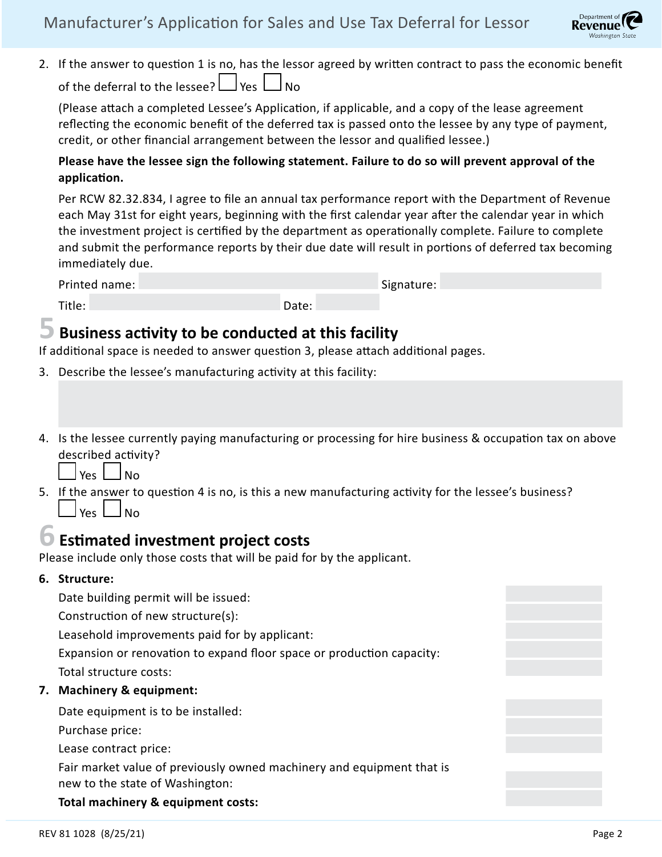

2. If the answer to question 1 is no, has the lessor agreed by written contract to pass the economic benefit of the deferral to the lessee?  $\Box$  Yes  $\Box$  No

(Please attach a completed Lessee's Application, if applicable, and a copy of the lease agreement reflecting the economic benefit of the deferred tax is passed onto the lessee by any type of payment, credit, or other financial arrangement between the lessor and qualified lessee.)

### **Please have the lessee sign the following statement. Failure to do so will prevent approval of the application.**

Per RCW 82.32.834, I agree to file an annual tax performance report with the Department of Revenue each May 31st for eight years, beginning with the first calendar year after the calendar year in which the investment project is certified by the department as operationally complete. Failure to complete and submit the performance reports by their due date will result in portions of deferred tax becoming immediately due.

Printed name: Signature: Signature: Signature: Signature: Signature: Signature: Signature: Signature: Signature: Signature: Signature: Signature: Signature: Signature: Signature: Signature: Signature: Signature: Signature:

#### Title: Date: Date: Date: Date: Date: Date: Date: Date: Date: Date: Date: Date: Date: Date: Date: Date: Date:  $\sim$

### **5 Business activity to be conducted at this facility**

If additional space is needed to answer question 3, please attach additional pages.

- 3. Describe the lessee's manufacturing activity at this facility:
- 4. Is the lessee currently paying manufacturing or processing for hire business & occupation tax on above described activity?

Yes  $\Box$  No

5. If the answer to question 4 is no, is this a new manufacturing activity for the lessee's business?

 $Y_{PS}$   $\parallel$   $N_{\Omega}$ 

### **6 Estimated investment project costs**

Please include only those costs that will be paid for by the applicant.

#### **6. Structure:**

Date building permit will be issued:

Construction of new structure(s):

Leasehold improvements paid for by applicant:

Expansion or renovation to expand floor space or production capacity:

Total structure costs:

#### **7. Machinery & equipment:**

Date equipment is to be installed:

Purchase price:

Lease contract price:

Fair market value of previously owned machinery and equipment that is new to the state of Washington:

**Total machinery & equipment costs:**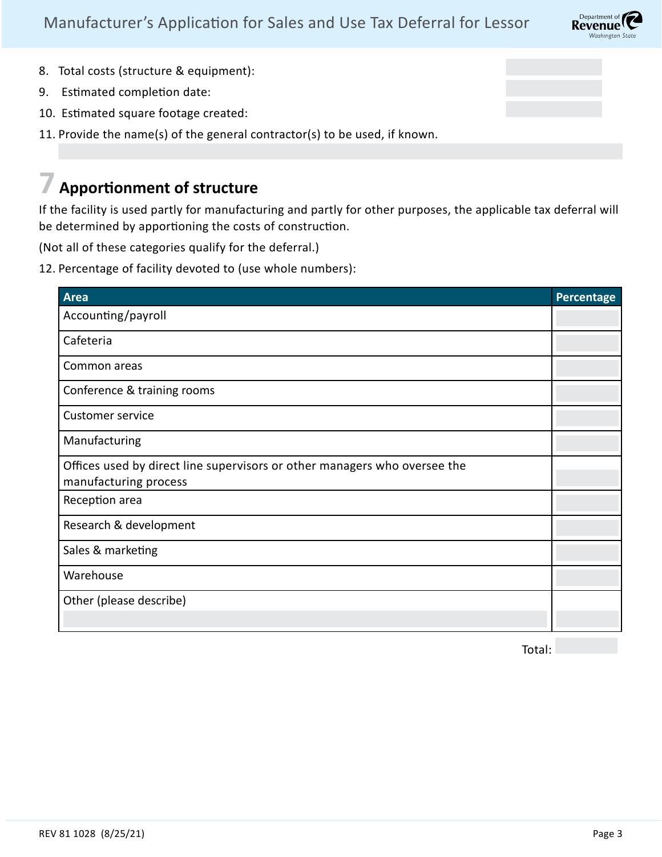

- 8. Total costs (structure & equipment):
- 9. Estimated completion date:
- 10. Estimated square footage created:
- 11. Provide the name(s) of the general contractor(s) to be used, if known.

## **7 Apportionment of structure**

If the facility is used partly for manufacturing and partly for other purposes, the applicable tax deferral will be determined by apportioning the costs of construction.

(Not all of these categories qualify for the deferral.)

12. Percentage of facility devoted to (use whole numbers):

| <b>Area</b>                                                                                        | Percentage |
|----------------------------------------------------------------------------------------------------|------------|
| Accounting/payroll                                                                                 |            |
| Cafeteria                                                                                          |            |
| Common areas                                                                                       |            |
| Conference & training rooms                                                                        |            |
| <b>Customer service</b>                                                                            |            |
| Manufacturing                                                                                      |            |
| Offices used by direct line supervisors or other managers who oversee the<br>manufacturing process |            |
| Reception area                                                                                     |            |
| Research & development                                                                             |            |
| Sales & marketing                                                                                  |            |
| Warehouse                                                                                          |            |
| Other (please describe)                                                                            |            |
|                                                                                                    |            |

Total: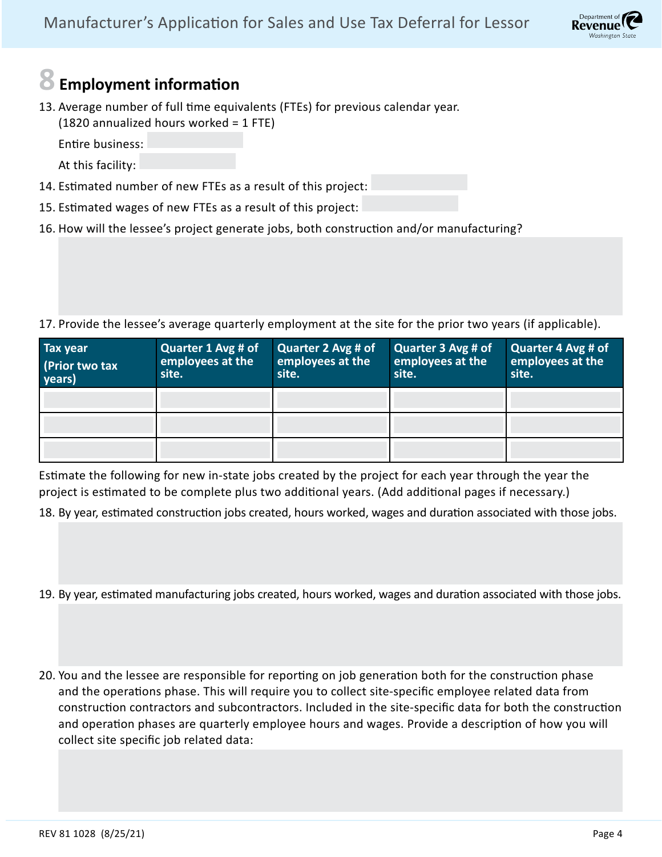

## **8 Employment information**

13. Average number of full time equivalents (FTEs) for previous calendar year. (1820 annualized hours worked = 1 FTE)

Entire business:

At this facility:

- 14. Estimated number of new FTEs as a result of this project:
- 15. Estimated wages of new FTEs as a result of this project:
- 16. How will the lessee's project generate jobs, both construction and/or manufacturing?

17. Provide the lessee's average quarterly employment at the site for the prior two years (if applicable).

| Tax year<br>(Prior two tax<br>years) | Quarter 1 Avg # of<br>employees at the<br>site. | Quarter 2 Avg # of<br>employees at the<br>site. | Quarter 3 Avg # of<br>employees at the<br>site. | Quarter 4 Avg # of<br>employees at the<br>site. |
|--------------------------------------|-------------------------------------------------|-------------------------------------------------|-------------------------------------------------|-------------------------------------------------|
|                                      |                                                 |                                                 |                                                 |                                                 |
|                                      |                                                 |                                                 |                                                 |                                                 |
|                                      |                                                 |                                                 |                                                 |                                                 |

Estimate the following for new in-state jobs created by the project for each year through the year the project is estimated to be complete plus two additional years. (Add additional pages if necessary.)

18. By year, estimated construction jobs created, hours worked, wages and duration associated with those jobs.

- 19. By year, estimated manufacturing jobs created, hours worked, wages and duration associated with those jobs.
- 20. You and the lessee are responsible for reporting on job generation both for the construction phase and the operations phase. This will require you to collect site-specific employee related data from construction contractors and subcontractors. Included in the site-specific data for both the construction and operation phases are quarterly employee hours and wages. Provide a description of how you will collect site specific job related data: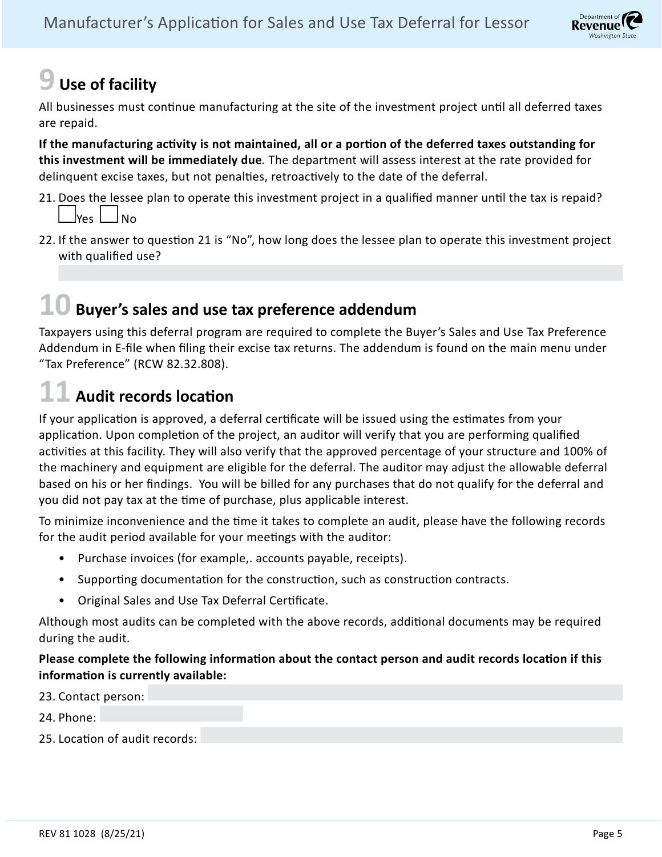# **9 Use of facility**

All businesses must continue manufacturing at the site of the investment project until all deferred taxes are repaid.

**If the manufacturing activity is not maintained, all or a portion of the deferred taxes outstanding for this investment will be immediately due***.* The department will assess interest at the rate provided for delinquent excise taxes, but not penalties, retroactively to the date of the deferral.

- 21. Does the lessee plan to operate this investment project in a qualified manner until the tax is repaid?  $\gamma$ es  $\frac{1}{100}$
- 22. If the answer to question 21 is "No", how long does the lessee plan to operate this investment project with qualified use?

## **10 Buyer's sales and use tax preference addendum**

Taxpayers using this deferral program are required to complete the Buyer's Sales and Use Tax Preference Addendum in E-file when filing their excise tax returns. The addendum is found on the main menu under "Tax Preference" (RCW 82.32.808).

## **11 Audit records location**

If your application is approved, a deferral certificate will be issued using the estimates from your application. Upon completion of the project, an auditor will verify that you are performing qualified activities at this facility. They will also verify that the approved percentage of your structure and 100% of the machinery and equipment are eligible for the deferral. The auditor may adjust the allowable deferral based on his or her findings. You will be billed for any purchases that do not qualify for the deferral and you did not pay tax at the time of purchase, plus applicable interest.

To minimize inconvenience and the time it takes to complete an audit, please have the following records for the audit period available for your meetings with the auditor:

- Purchase invoices (for example,. accounts payable, receipts).
- Supporting documentation for the construction, such as construction contracts.
- Original Sales and Use Tax Deferral Certificate.

Although most audits can be completed with the above records, additional documents may be required during the audit.

#### **Please complete the following information about the contact person and audit records location if this information is currently available:**



Department of **Revenue**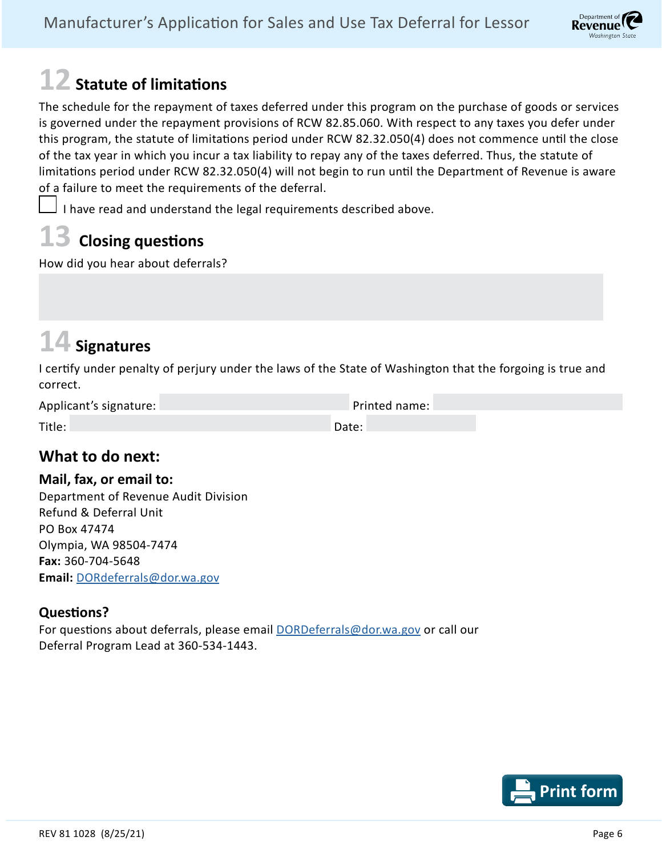# **12 Statute of limitations**

The schedule for the repayment of taxes deferred under this program on the purchase of goods or services is governed under the repayment provisions of RCW 82.85.060. With respect to any taxes you defer under this program, the statute of limitations period under RCW 82.32.050(4) does not commence until the close of the tax year in which you incur a tax liability to repay any of the taxes deferred. Thus, the statute of limitations period under RCW 82.32.050(4) will not begin to run until the Department of Revenue is aware of a failure to meet the requirements of the deferral.

I have read and understand the legal requirements described above.

## **13 Closing questions**

How did you hear about deferrals?

# **14 Signatures**

I certify under penalty of perjury under the laws of the State of Washington that the forgoing is true and correct.

| Applicant's signature: | Printed name: |
|------------------------|---------------|
|                        |               |
| Title:                 | Date:         |

### **What to do next:**

### **Mail, fax, or email to:**

Department of Revenue Audit Division Refund & Deferral Unit PO Box 47474 Olympia, WA 98504-7474 **Fax:** 360-704-5648 **Email:** [DORdeferrals@dor.wa.gov](mailto:DORdeferrals%40dor.wa.gov?subject=)

### **Questions?**

For questions about deferrals, please email [DORDeferrals@dor.wa.gov](mailto:DORDeferrals%40dor.wa.gov?subject=) or call our Deferral Program Lead at 360-534-1443.



Department of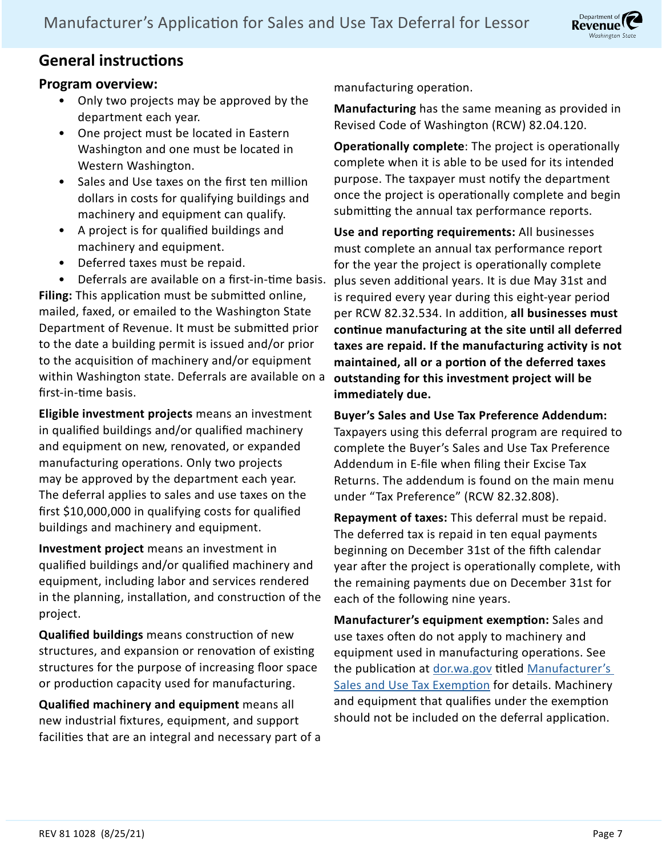

### **General instructions**

### **Program overview:**

- Only two projects may be approved by the department each year.
- One project must be located in Eastern Washington and one must be located in Western Washington.
- Sales and Use taxes on the first ten million dollars in costs for qualifying buildings and machinery and equipment can qualify.
- A project is for qualified buildings and machinery and equipment.
- Deferred taxes must be repaid.

• Deferrals are available on a first-in-time basis. **Filing:** This application must be submitted online, mailed, faxed, or emailed to the Washington State Department of Revenue. It must be submitted prior to the date a building permit is issued and/or prior to the acquisition of machinery and/or equipment within Washington state. Deferrals are available on a first-in-time basis.

**Eligible investment projects** means an investment in qualified buildings and/or qualified machinery and equipment on new, renovated, or expanded manufacturing operations. Only two projects may be approved by the department each year. The deferral applies to sales and use taxes on the first \$10,000,000 in qualifying costs for qualified buildings and machinery and equipment.

**Investment project** means an investment in qualified buildings and/or qualified machinery and equipment, including labor and services rendered in the planning, installation, and construction of the project.

**Qualified buildings** means construction of new structures, and expansion or renovation of existing structures for the purpose of increasing floor space or production capacity used for manufacturing.

**Qualified machinery and equipment** means all new industrial fixtures, equipment, and support facilities that are an integral and necessary part of a manufacturing operation.

**Manufacturing** has the same meaning as provided in Revised Code of Washington (RCW) 82.04.120.

**Operationally complete**: The project is operationally complete when it is able to be used for its intended purpose. The taxpayer must notify the department once the project is operationally complete and begin submitting the annual tax performance reports.

**Use and reporting requirements:** All businesses must complete an annual tax performance report for the year the project is operationally complete plus seven additional years. It is due May 31st and is required every year during this eight-year period per RCW 82.32.534. In addition, **all businesses must continue manufacturing at the site until all deferred taxes are repaid. If the manufacturing activity is not maintained, all or a portion of the deferred taxes outstanding for this investment project will be immediately due.**

**Buyer's Sales and Use Tax Preference Addendum:**  Taxpayers using this deferral program are required to complete the Buyer's Sales and Use Tax Preference Addendum in E-file when filing their Excise Tax Returns. The addendum is found on the main menu under "Tax Preference" (RCW 82.32.808).

**Repayment of taxes:** This deferral must be repaid. The deferred tax is repaid in ten equal payments beginning on December 31st of the fifth calendar year after the project is operationally complete, with the remaining payments due on December 31st for each of the following nine years.

**Manufacturer's equipment exemption:** Sales and use taxes often do not apply to machinery and equipment used in manufacturing operations. See the publication at [dor.wa.gov](http://dor.wa.gov) titled Manufacturer's [Sales and Use Tax Exemption](https://dor.wa.gov/sites/default/files/legacy/Docs/Pubs/ExciseTax/IncentProgs/MfgUseTax.pdf) for details. Machinery and equipment that qualifies under the exemption should not be included on the deferral application.